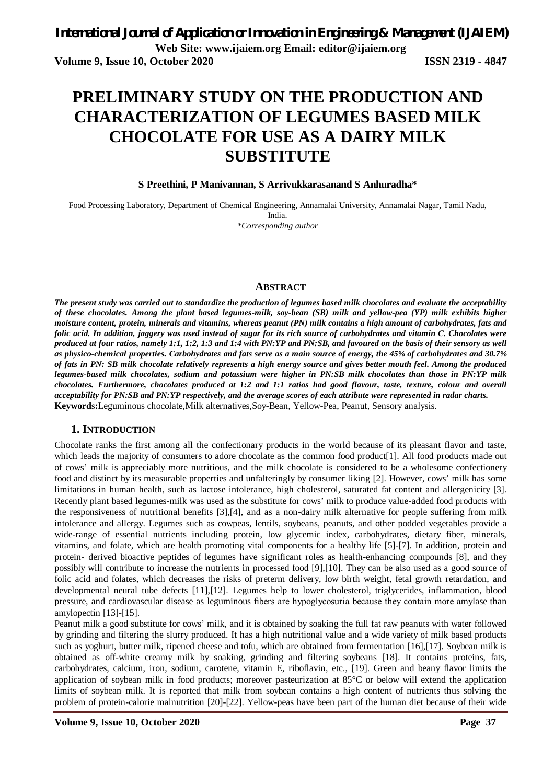# **PRELIMINARY STUDY ON THE PRODUCTION AND CHARACTERIZATION OF LEGUMES BASED MILK CHOCOLATE FOR USE AS A DAIRY MILK SUBSTITUTE**

#### **S Preethini, P Manivannan, S Arrivukkarasanand S Anhuradha\***

Food Processing Laboratory, Department of Chemical Engineering, Annamalai University, Annamalai Nagar, Tamil Nadu, India. *\*Corresponding author* 

#### **ABSTRACT**

*The present study was carried out to standardize the production of legumes based milk chocolates and evaluate the acceptability of these chocolates. Among the plant based legumes-milk, soy-bean (SB) milk and yellow-pea (YP) milk exhibits higher moisture content, protein, minerals and vitamins, whereas peanut (PN) milk contains a high amount of carbohydrates, fats and folic acid. In addition, jaggery was used instead of sugar for its rich source of carbohydrates and vitamin C. Chocolates were produced at four ratios, namely 1:1, 1:2, 1:3 and 1:4 with PN:YP and PN:SB, and favoured on the basis of their sensory as well as physico-chemical properties. Carbohydrates and fats serve as a main source of energy, the 45% of carbohydrates and 30.7% of fats in PN: SB milk chocolate relatively represents a high energy source and gives better mouth feel. Among the produced legumes-based milk chocolates, sodium and potassium were higher in PN:SB milk chocolates than those in PN:YP milk chocolates. Furthermore, chocolates produced at 1:2 and 1:1 ratios had good flavour, taste, texture, colour and overall acceptability for PN:SB and PN:YP respectively, and the average scores of each attribute were represented in radar charts.*  **Keyword**s**:**Leguminous chocolate,Milk alternatives,Soy-Bean, Yellow-Pea, Peanut, Sensory analysis.

#### **1. INTRODUCTION**

Chocolate ranks the first among all the confectionary products in the world because of its pleasant flavor and taste, which leads the majority of consumers to adore chocolate as the common food product[1]. All food products made out of cows' milk is appreciably more nutritious, and the milk chocolate is considered to be a wholesome confectionery food and distinct by its measurable properties and unfalteringly by consumer liking [2]. However, cows' milk has some limitations in human health, such as lactose intolerance, high cholesterol, saturated fat content and allergenicity [3]. Recently plant based legumes-milk was used as the substitute for cows' milk to produce value-added food products with the responsiveness of nutritional benefits [3],[4], and as a non-dairy milk alternative for people suffering from milk intolerance and allergy. Legumes such as cowpeas, lentils, soybeans, peanuts, and other podded vegetables provide a wide-range of essential nutrients including protein, low glycemic index, carbohydrates, dietary fiber, minerals, vitamins, and folate, which are health promoting vital components for a healthy life [5]-[7]. In addition, protein and protein- derived bioactive peptides of legumes have significant roles as health-enhancing compounds [8], and they possibly will contribute to increase the nutrients in processed food [9],[10]. They can be also used as a good source of folic acid and folates, which decreases the risks of preterm delivery, low birth weight, fetal growth retardation, and developmental neural tube defects [11],[12]. Legumes help to lower cholesterol, triglycerides, inflammation, blood pressure, and cardiovascular disease as leguminous fibers are hypoglycosuria because they contain more amylase than amylopectin [13]-[15].

Peanut milk a good substitute for cows' milk, and it is obtained by soaking the full fat raw peanuts with water followed by grinding and filtering the slurry produced. It has a high nutritional value and a wide variety of milk based products such as yoghurt, butter milk, ripened cheese and tofu, which are obtained from fermentation [16],[17]. Soybean milk is obtained as off-white creamy milk by soaking, grinding and filtering soybeans [18]. It contains proteins, fats, carbohydrates, calcium, iron, sodium, carotene, vitamin E, riboflavin, etc., [19]. Green and beany flavor limits the application of soybean milk in food products; moreover pasteurization at 85°C or below will extend the application limits of soybean milk. It is reported that milk from soybean contains a high content of nutrients thus solving the problem of protein-calorie malnutrition [20]-[22]. Yellow-peas have been part of the human diet because of their wide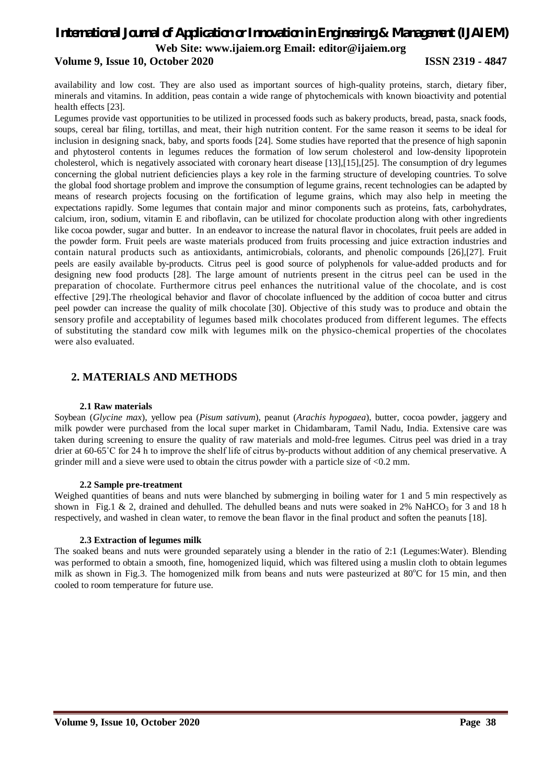#### **Volume 9, Issue 10, October 2020 ISSN 2319 - 4847**

availability and low cost. They are also used as important sources of high-quality proteins, starch, dietary fiber, minerals and vitamins. In addition, peas contain a wide range of phytochemicals with known bioactivity and potential health effects [23].

Legumes provide vast opportunities to be utilized in processed foods such as bakery products, bread, pasta, snack foods, soups, cereal bar filing, tortillas, and meat, their high nutrition content. For the same reason it seems to be ideal for inclusion in designing snack, baby, and sports foods [24]. Some studies have reported that the presence of high saponin and phytosterol contents in legumes reduces the formation of low serum cholesterol and low-density lipoprotein cholesterol, which is negatively associated with coronary heart disease [13],[15],[25]. The consumption of dry legumes concerning the global nutrient deficiencies plays a key role in the farming structure of developing countries. To solve the global food shortage problem and improve the consumption of legume grains, recent technologies can be adapted by means of research projects focusing on the fortification of legume grains, which may also help in meeting the expectations rapidly. Some legumes that contain major and minor components such as proteins, fats, carbohydrates, calcium, iron, sodium, vitamin E and riboflavin, can be utilized for chocolate production along with other ingredients like cocoa powder, sugar and butter. In an endeavor to increase the natural flavor in chocolates, fruit peels are added in the powder form. Fruit peels are waste materials produced from fruits processing and juice extraction industries and contain natural products such as antioxidants, antimicrobials, colorants, and phenolic compounds [26],[27]. Fruit peels are easily available by-products. Citrus peel is good source of polyphenols for value-added products and for designing new food products [28]. The large amount of nutrients present in the citrus peel can be used in the preparation of chocolate. Furthermore citrus peel enhances the nutritional value of the chocolate, and is cost effective [29].The rheological behavior and flavor of chocolate influenced by the addition of cocoa butter and citrus peel powder can increase the quality of milk chocolate [30]. Objective of this study was to produce and obtain the sensory profile and acceptability of legumes based milk chocolates produced from different legumes. The effects of substituting the standard cow milk with legumes milk on the physico-chemical properties of the chocolates were also evaluated.

#### **2. MATERIALS AND METHODS**

#### **2.1 Raw materials**

Soybean (*Glycine max*), yellow pea (*Pisum sativum*), peanut (*Arachis hypogaea*), butter, cocoa powder, jaggery and milk powder were purchased from the local super market in Chidambaram, Tamil Nadu, India. Extensive care was taken during screening to ensure the quality of raw materials and mold-free legumes. Citrus peel was dried in a tray drier at 60-65˚C for 24 h to improve the shelf life of citrus by-products without addition of any chemical preservative. A grinder mill and a sieve were used to obtain the citrus powder with a particle size of <0.2 mm.

#### **2.2 Sample pre-treatment**

Weighed quantities of beans and nuts were blanched by submerging in boiling water for 1 and 5 min respectively as shown in Fig.1 & 2, drained and dehulled. The dehulled beans and nuts were soaked in 2% NaHCO<sub>3</sub> for 3 and 18 h respectively, and washed in clean water, to remove the bean flavor in the final product and soften the peanuts [18].

#### **2.3 Extraction of legumes milk**

The soaked beans and nuts were grounded separately using a blender in the ratio of 2:1 (Legumes:Water). Blending was performed to obtain a smooth, fine, homogenized liquid, which was filtered using a muslin cloth to obtain legumes milk as shown in Fig.3. The homogenized milk from beans and nuts were pasteurized at  $80^{\circ}$ C for 15 min, and then cooled to room temperature for future use.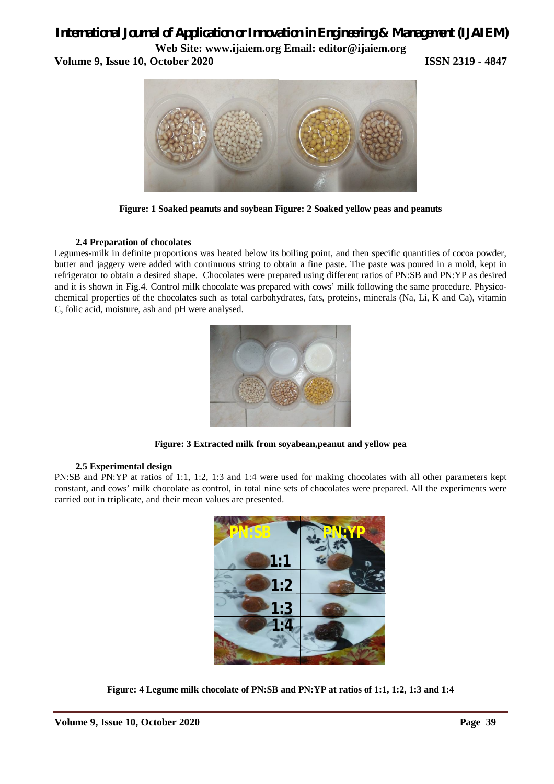## *International Journal of Application or Innovation in Engineering & Management (IJAIEM)*

**Web Site: www.ijaiem.org Email: editor@ijaiem.org**

**Volume 9, Issue 10, October 2020 ISSN 2319 - 4847**



**Figure: 1 Soaked peanuts and soybean Figure: 2 Soaked yellow peas and peanuts**

#### **2.4 Preparation of chocolates**

Legumes-milk in definite proportions was heated below its boiling point, and then specific quantities of cocoa powder, butter and jaggery were added with continuous string to obtain a fine paste. The paste was poured in a mold, kept in refrigerator to obtain a desired shape. Chocolates were prepared using different ratios of PN:SB and PN:YP as desired and it is shown in Fig.4. Control milk chocolate was prepared with cows' milk following the same procedure. Physicochemical properties of the chocolates such as total carbohydrates, fats, proteins, minerals (Na, Li, K and Ca), vitamin C, folic acid, moisture, ash and pH were analysed.



**Figure: 3 Extracted milk from soyabean,peanut and yellow pea**

#### **2.5 Experimental design**

PN:SB and PN:YP at ratios of 1:1, 1:2, 1:3 and 1:4 were used for making chocolates with all other parameters kept constant, and cows' milk chocolate as control, in total nine sets of chocolates were prepared. All the experiments were carried out in triplicate, and their mean values are presented.



**Figure: 4 Legume milk chocolate of PN:SB and PN:YP at ratios of 1:1, 1:2, 1:3 and 1:4**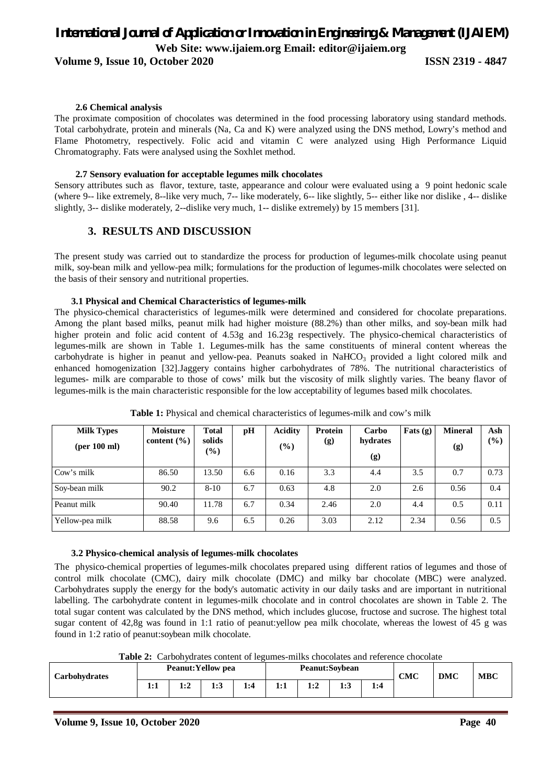**Volume 9, Issue 10, October 2020 ISSN 2319 - 4847**

#### **2.6 Chemical analysis**

The proximate composition of chocolates was determined in the food processing laboratory using standard methods. Total carbohydrate, protein and minerals (Na, Ca and K) were analyzed using the DNS method, Lowry's method and Flame Photometry, respectively. Folic acid and vitamin C were analyzed using High Performance Liquid Chromatography. Fats were analysed using the Soxhlet method.

#### **2.7 Sensory evaluation for acceptable legumes milk chocolates**

Sensory attributes such as flavor, texture, taste, appearance and colour were evaluated using a 9 point hedonic scale (where 9-- like extremely, 8--like very much, 7-- like moderately, 6-- like slightly, 5-- either like nor dislike , 4-- dislike slightly, 3-- dislike moderately, 2--dislike very much, 1-- dislike extremely) by 15 members [31].

#### **3. RESULTS AND DISCUSSION**

The present study was carried out to standardize the process for production of legumes-milk chocolate using peanut milk, soy-bean milk and yellow-pea milk; formulations for the production of legumes-milk chocolates were selected on the basis of their sensory and nutritional properties.

#### **3.1 Physical and Chemical Characteristics of legumes-milk**

The physico-chemical characteristics of legumes-milk were determined and considered for chocolate preparations. Among the plant based milks, peanut milk had higher moisture (88.2%) than other milks, and soy-bean milk had higher protein and folic acid content of 4.53g and 16.23g respectively. The physico-chemical characteristics of legumes-milk are shown in Table 1. Legumes-milk has the same constituents of mineral content whereas the carbohydrate is higher in peanut and yellow-pea. Peanuts soaked in NaHCO<sub>3</sub> provided a light colored milk and enhanced homogenization [32].Jaggery contains higher carbohydrates of 78%. The nutritional characteristics of legumes- milk are comparable to those of cows' milk but the viscosity of milk slightly varies. The beany flavor of legumes-milk is the main characteristic responsible for the low acceptability of legumes based milk chocolates.

| <b>Milk Types</b><br>(per 100 ml) | <b>Moisture</b><br>content $(\% )$ | <b>Total</b><br>solids<br>$(\%)$ | pH  | <b>Acidity</b><br>$(\%)$ | <b>Protein</b><br>(g) | Carbo<br>hydrates<br>(g) | Fats $(g)$ | <b>Mineral</b><br>(g) | Ash<br>$(\%)$ |
|-----------------------------------|------------------------------------|----------------------------------|-----|--------------------------|-----------------------|--------------------------|------------|-----------------------|---------------|
| Cow's milk                        | 86.50                              | 13.50                            | 6.6 | 0.16                     | 3.3                   | 4.4                      | 3.5        | 0.7                   | 0.73          |
| Soy-bean milk                     | 90.2                               | $8-10$                           | 6.7 | 0.63                     | 4.8                   | 2.0                      | 2.6        | 0.56                  | 0.4           |
| Peanut milk                       | 90.40                              | 11.78                            | 6.7 | 0.34                     | 2.46                  | 2.0                      | 4.4        | 0.5                   | 0.11          |
| Yellow-pea milk                   | 88.58                              | 9.6                              | 6.5 | 0.26                     | 3.03                  | 2.12                     | 2.34       | 0.56                  | 0.5           |

**Table 1:** Physical and chemical characteristics of legumes-milk and cow's milk

#### **3.2 Physico-chemical analysis of legumes-milk chocolates**

The physico-chemical properties of legumes-milk chocolates prepared using different ratios of legumes and those of control milk chocolate (CMC), dairy milk chocolate (DMC) and milky bar chocolate (MBC) were analyzed. Carbohydrates supply the energy for the body's automatic activity in our daily tasks and are important in nutritional labelling. The carbohydrate content in legumes-milk chocolate and in control chocolates are shown in Table 2. The total sugar content was calculated by the DNS method, which includes glucose, fructose and sucrose. The highest total sugar content of 42,8g was found in 1:1 ratio of peanut:yellow pea milk chocolate, whereas the lowest of 45 g was found in 1:2 ratio of peanut:soybean milk chocolate.

**Table 2:** Carbohydrates content of legumes-milks chocolates and reference chocolate

| 1:3<br>1.3<br><br>1:1<br>1:4<br>1:4<br>1.J<br><br>⊥.∠<br>▪・ | Carbohydrates | <b>Peanut: Yellow pea</b> |  |  |  |  | <b>Peanut:Soybean</b> | <b>CMC</b> | <b>DMC</b> | <b>MBC</b> |  |
|-------------------------------------------------------------|---------------|---------------------------|--|--|--|--|-----------------------|------------|------------|------------|--|
|                                                             |               |                           |  |  |  |  |                       |            |            |            |  |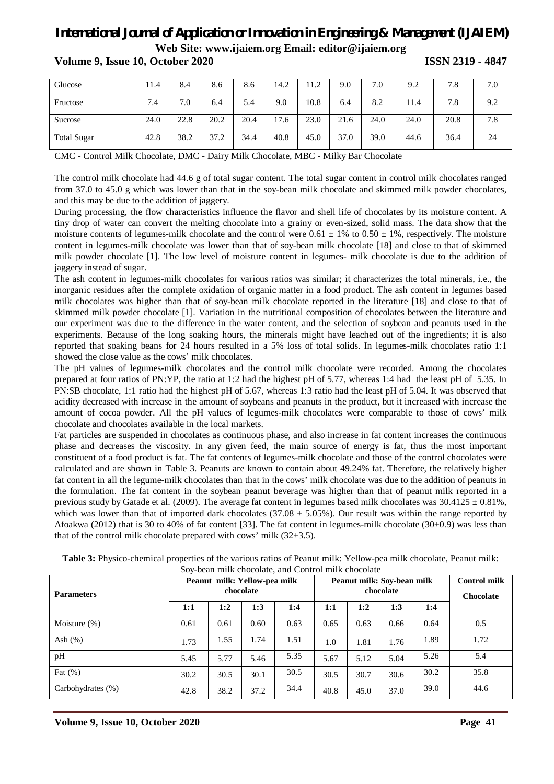| Glucose            | 11.4 | 8.4  | 8.6  | 8.6  | 14.2 | 11.2 | 9.0  | 7.0  | 9.2  | 7.8  | 7.0 |
|--------------------|------|------|------|------|------|------|------|------|------|------|-----|
| Fructose           | 7.4  | 7.0  | 6.4  | 5.4  | 9.0  | 10.8 | 6.4  | 8.2  | 11.4 | 7.8  | 9.2 |
| Sucrose            | 24.0 | 22.8 | 20.2 | 20.4 | 7.6  | 23.0 | 21.6 | 24.0 | 24.0 | 20.8 | 7.8 |
| <b>Total Sugar</b> | 42.8 | 38.2 | 37.2 | 34.4 | 40.8 | 45.0 | 37.0 | 39.0 | 44.6 | 36.4 | 24  |

**Volume 9, Issue 10, October 2020 ISSN 2319 - 4847**

CMC - Control Milk Chocolate, DMC - Dairy Milk Chocolate, MBC - Milky Bar Chocolate

The control milk chocolate had 44.6 g of total sugar content. The total sugar content in control milk chocolates ranged from 37.0 to 45.0 g which was lower than that in the soy-bean milk chocolate and skimmed milk powder chocolates, and this may be due to the addition of jaggery.

During processing, the flow characteristics influence the flavor and shell life of chocolates by its moisture content. A tiny drop of water can convert the melting chocolate into a grainy or even-sized, solid mass. The data show that the moisture contents of legumes-milk chocolate and the control were  $0.61 \pm 1\%$  to  $0.50 \pm 1\%$ , respectively. The moisture content in legumes-milk chocolate was lower than that of soy-bean milk chocolate [18] and close to that of skimmed milk powder chocolate [1]. The low level of moisture content in legumes- milk chocolate is due to the addition of jaggery instead of sugar.

The ash content in legumes-milk chocolates for various ratios was similar; it characterizes the total minerals, i.e., the inorganic residues after the complete oxidation of organic matter in a food product. The ash content in legumes based milk chocolates was higher than that of soy-bean milk chocolate reported in the literature [18] and close to that of skimmed milk powder chocolate [1]. Variation in the nutritional composition of chocolates between the literature and our experiment was due to the difference in the water content, and the selection of soybean and peanuts used in the experiments. Because of the long soaking hours, the minerals might have leached out of the ingredients; it is also reported that soaking beans for 24 hours resulted in a 5% loss of total solids. In legumes-milk chocolates ratio 1:1 showed the close value as the cows' milk chocolates.

The pH values of legumes-milk chocolates and the control milk chocolate were recorded. Among the chocolates prepared at four ratios of PN:YP, the ratio at 1:2 had the highest pH of 5.77, whereas 1:4 had the least pH of 5.35. In PN:SB chocolate, 1:1 ratio had the highest pH of 5.67, whereas 1:3 ratio had the least pH of 5.04. It was observed that acidity decreased with increase in the amount of soybeans and peanuts in the product, but it increased with increase the amount of cocoa powder. All the pH values of legumes-milk chocolates were comparable to those of cows' milk chocolate and chocolates available in the local markets.

Fat particles are suspended in chocolates as continuous phase, and also increase in fat content increases the continuous phase and decreases the viscosity. In any given feed, the main source of energy is fat, thus the most important constituent of a food product is fat. The fat contents of legumes-milk chocolate and those of the control chocolates were calculated and are shown in Table 3. Peanuts are known to contain about 49.24% fat. Therefore, the relatively higher fat content in all the legume-milk chocolates than that in the cows' milk chocolate was due to the addition of peanuts in the formulation. The fat content in the soybean peanut beverage was higher than that of peanut milk reported in a previous study by Gatade et al. (2009). The average fat content in legumes based milk chocolates was  $30.4125 \pm 0.81\%$ , which was lower than that of imported dark chocolates (37.08  $\pm$  5.05%). Our result was within the range reported by Afoakwa (2012) that is 30 to 40% of fat content [33]. The fat content in legumes-milk chocolate (30±0.9) was less than that of the control milk chocolate prepared with cows' milk  $(32\pm3.5)$ .

| <b>Parameters</b> | Peanut milk: Yellow-pea milk |      | Peanut milk: Soy-bean milk<br>chocolate | <b>Control milk</b><br><b>Chocolate</b> |      |      |      |      |      |
|-------------------|------------------------------|------|-----------------------------------------|-----------------------------------------|------|------|------|------|------|
|                   | 1:1                          | 1:2  | 1:3                                     | 1:4                                     | 1:1  | 1:2  | 1:3  | 1:4  |      |
| Moisture $(\%)$   | 0.61                         | 0.61 | 0.60                                    | 0.63                                    | 0.65 | 0.63 | 0.66 | 0.64 | 0.5  |
| Ash $(\% )$       | 1.73                         | 1.55 | 1.74                                    | 1.51                                    | 1.0  | 1.81 | 1.76 | 1.89 | 1.72 |
| pH                | 5.45                         | 5.77 | 5.46                                    | 5.35                                    | 5.67 | 5.12 | 5.04 | 5.26 | 5.4  |
| Fat $(\%)$        | 30.2                         | 30.5 | 30.1                                    | 30.5                                    | 30.5 | 30.7 | 30.6 | 30.2 | 35.8 |
| Carbohydrates (%) | 42.8                         | 38.2 | 37.2                                    | 34.4                                    | 40.8 | 45.0 | 37.0 | 39.0 | 44.6 |

**Table 3:** Physico-chemical properties of the various ratios of Peanut milk: Yellow-pea milk chocolate, Peanut milk: on milk chocolate, and Control milk chocolate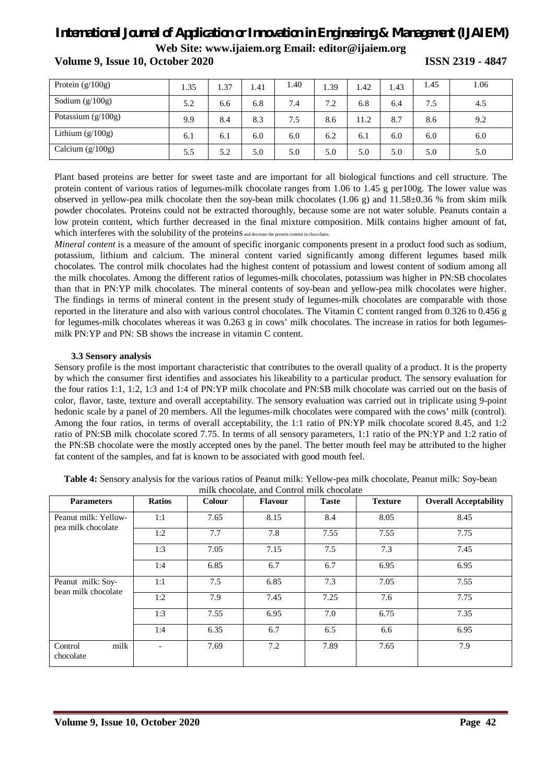| Protein $(g/100g)$   | 1.35 | . 37 | 1.41 | 1.40 | .39 | 1.42 | 1.43 | 1.45 | 1.06 |
|----------------------|------|------|------|------|-----|------|------|------|------|
| Sodium $(g/100g)$    | 5.2  | 6.6  | 6.8  | 7.4  | 7.2 | 6.8  | 6.4  | 7.5  | 4.5  |
| Potassium $(g/100g)$ | 9.9  | 8.4  | 8.3  | 7.5  | 8.6 | 11.2 | 8.7  | 8.6  | 9.2  |
| Lithium $(g/100g)$   | 6.1  | 6.1  | 6.0  | 6.0  | 6.2 | 6.1  | 6.0  | 6.0  | 6.0  |
| Calcium $(g/100g)$   | 5.5  | 5.2  | 5.0  | 5.0  | 5.0 | 5.0  | 5.0  | 5.0  | 5.0  |

**Volume 9, Issue 10, October 2020 ISSN 2319 - 4847**

Plant based proteins are better for sweet taste and are important for all biological functions and cell structure. The protein content of various ratios of legumes-milk chocolate ranges from 1.06 to 1.45 g per100g. The lower value was observed in yellow-pea milk chocolate then the soy-bean milk chocolates (1.06 g) and  $11.58\pm0.36$  % from skim milk powder chocolates. Proteins could not be extracted thoroughly, because some are not water soluble. Peanuts contain a low protein content, which further decreased in the final mixture composition. Milk contains higher amount of fat, which interferes with the solubility of the proteins and decrease the protein content in chocolates.

*Mineral content* is a measure of the amount of specific inorganic components present in a product food such as sodium, potassium, lithium and calcium. The mineral content varied significantly among different legumes based milk chocolates. The control milk chocolates had the highest content of potassium and lowest content of sodium among all the milk chocolates. Among the different ratios of legumes-milk chocolates, potassium was higher in PN:SB chocolates than that in PN:YP milk chocolates. The mineral contents of soy-bean and yellow-pea milk chocolates were higher. The findings in terms of mineral content in the present study of legumes-milk chocolates are comparable with those reported in the literature and also with various control chocolates. The Vitamin C content ranged from 0.326 to 0.456 g for legumes-milk chocolates whereas it was 0.263 g in cows' milk chocolates. The increase in ratios for both legumesmilk PN:YP and PN: SB shows the increase in vitamin C content.

#### **3.3 Sensory analysis**

Sensory profile is the most important characteristic that contributes to the overall quality of a product. It is the property by which the consumer first identifies and associates his likeability to a particular product. The sensory evaluation for the four ratios 1:1, 1:2, 1:3 and 1:4 of PN:YP milk chocolate and PN:SB milk chocolate was carried out on the basis of color, flavor, taste, texture and overall acceptability. The sensory evaluation was carried out in triplicate using 9-point hedonic scale by a panel of 20 members. All the legumes-milk chocolates were compared with the cows' milk (control). Among the four ratios, in terms of overall acceptability, the 1:1 ratio of PN:YP milk chocolate scored 8.45, and 1:2 ratio of PN:SB milk chocolate scored 7.75. In terms of all sensory parameters, 1:1 ratio of the PN:YP and 1:2 ratio of the PN:SB chocolate were the mostly accepted ones by the panel. The better mouth feel may be attributed to the higher fat content of the samples, and fat is known to be associated with good mouth feel.

| <b>Parameters</b>                        | <b>Ratios</b> | <b>Colour</b> | <b>Flavour</b> | <b>Taste</b> | <b>Texture</b> | <b>Overall Acceptability</b> |
|------------------------------------------|---------------|---------------|----------------|--------------|----------------|------------------------------|
| Peanut milk: Yellow-                     | 1:1           | 7.65          | 8.15           | 8.4          | 8.05           | 8.45                         |
| pea milk chocolate                       | 1:2           | 7.7           | 7.8            | 7.55         | 7.55           | 7.75                         |
|                                          | 1:3           | 7.05          | 7.15           | 7.5          | 7.3            | 7.45                         |
|                                          | 1:4           | 6.85          | 6.7            | 6.7          | 6.95           | 6.95                         |
| Peanut milk: Soy-<br>bean milk chocolate | 1:1           | 7.5           | 6.85           | 7.3          | 7.05           | 7.55                         |
|                                          | 1:2           | 7.9           | 7.45           | 7.25         | 7.6            | 7.75                         |
|                                          | 1:3           | 7.55          | 6.95           | 7.0          | 6.75           | 7.35                         |
|                                          | 1:4           | 6.35          | 6.7            | 6.5          | 6.6            | 6.95                         |
| milk<br>Control<br>chocolate             |               | 7.69          | 7.2            | 7.89         | 7.65           | 7.9                          |

| Table 4: Sensory analysis for the various ratios of Peanut milk: Yellow-pea milk chocolate, Peanut milk: Soy-bean |  |
|-------------------------------------------------------------------------------------------------------------------|--|
| milk chocolate, and Control milk chocolate                                                                        |  |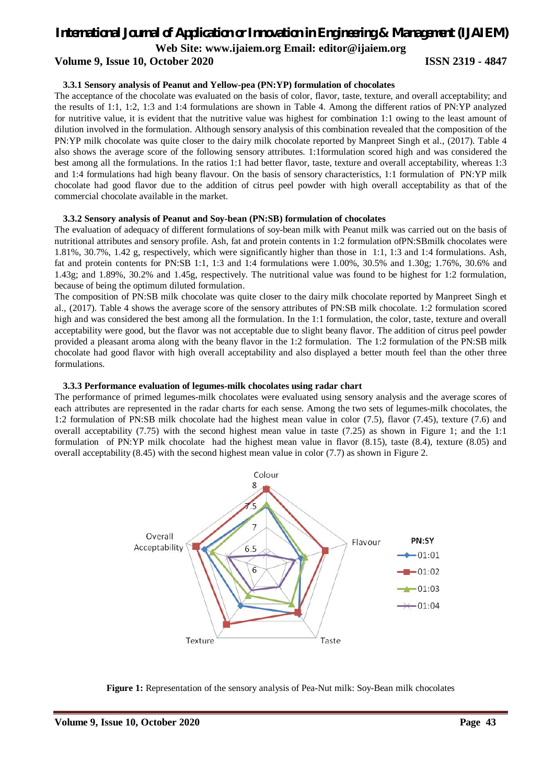### *International Journal of Application or Innovation in Engineering & Management (IJAIEM)*

**Web Site: www.ijaiem.org Email: editor@ijaiem.org**

#### **Volume 9, Issue 10, October 2020 ISSN 2319 - 4847**

#### **3.3.1 Sensory analysis of Peanut and Yellow-pea (PN:YP) formulation of chocolates**

The acceptance of the chocolate was evaluated on the basis of color, flavor, taste, texture, and overall acceptability; and the results of 1:1, 1:2, 1:3 and 1:4 formulations are shown in Table 4. Among the different ratios of PN:YP analyzed for nutritive value, it is evident that the nutritive value was highest for combination 1:1 owing to the least amount of dilution involved in the formulation. Although sensory analysis of this combination revealed that the composition of the PN:YP milk chocolate was quite closer to the dairy milk chocolate reported by Manpreet Singh et al., (2017). Table 4 also shows the average score of the following sensory attributes. 1:1formulation scored high and was considered the best among all the formulations. In the ratios 1:1 had better flavor, taste, texture and overall acceptability, whereas 1:3 and 1:4 formulations had high beany flavour. On the basis of sensory characteristics, 1:1 formulation of PN:YP milk chocolate had good flavor due to the addition of citrus peel powder with high overall acceptability as that of the commercial chocolate available in the market.

#### **3.3.2 Sensory analysis of Peanut and Soy-bean (PN:SB) formulation of chocolates**

The evaluation of adequacy of different formulations of soy-bean milk with Peanut milk was carried out on the basis of nutritional attributes and sensory profile. Ash, fat and protein contents in 1:2 formulation ofPN:SBmilk chocolates were 1.81%, 30.7%, 1.42 g, respectively, which were significantly higher than those in 1:1, 1:3 and 1:4 formulations. Ash, fat and protein contents for PN:SB 1:1, 1:3 and 1:4 formulations were 1.00%, 30.5% and 1.30g; 1.76%, 30.6% and 1.43g; and 1.89%, 30.2% and 1.45g, respectively. The nutritional value was found to be highest for 1:2 formulation, because of being the optimum diluted formulation.

The composition of PN:SB milk chocolate was quite closer to the dairy milk chocolate reported by Manpreet Singh et al., (2017). Table 4 shows the average score of the sensory attributes of PN:SB milk chocolate. 1:2 formulation scored high and was considered the best among all the formulation. In the 1:1 formulation, the color, taste, texture and overall acceptability were good, but the flavor was not acceptable due to slight beany flavor. The addition of citrus peel powder provided a pleasant aroma along with the beany flavor in the 1:2 formulation. The 1:2 formulation of the PN:SB milk chocolate had good flavor with high overall acceptability and also displayed a better mouth feel than the other three formulations.

#### **3.3.3 Performance evaluation of legumes-milk chocolates using radar chart**

The performance of primed legumes-milk chocolates were evaluated using sensory analysis and the average scores of each attributes are represented in the radar charts for each sense. Among the two sets of legumes-milk chocolates, the 1:2 formulation of PN:SB milk chocolate had the highest mean value in color (7.5), flavor (7.45), texture (7.6) and overall acceptability (7.75) with the second highest mean value in taste (7.25) as shown in Figure 1; and the 1:1 formulation of PN:YP milk chocolate had the highest mean value in flavor (8.15), taste (8.4), texture (8.05) and overall acceptability (8.45) with the second highest mean value in color (7.7) as shown in Figure 2.



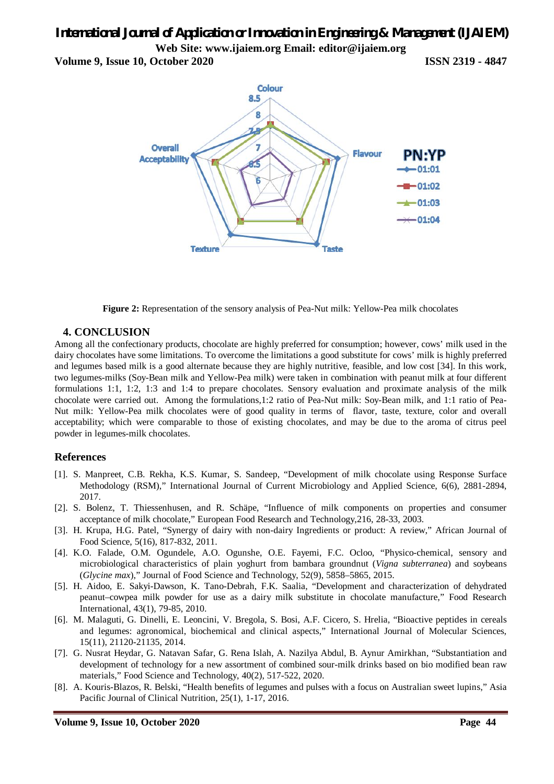**Volume 9, Issue 10, October 2020 ISSN 2319 - 4847**





### **4. CONCLUSION**

Among all the confectionary products, chocolate are highly preferred for consumption; however, cows' milk used in the dairy chocolates have some limitations. To overcome the limitations a good substitute for cows' milk is highly preferred and legumes based milk is a good alternate because they are highly nutritive, feasible, and low cost [34]. In this work, two legumes-milks (Soy-Bean milk and Yellow-Pea milk) were taken in combination with peanut milk at four different formulations 1:1, 1:2, 1:3 and 1:4 to prepare chocolates. Sensory evaluation and proximate analysis of the milk chocolate were carried out. Among the formulations,1:2 ratio of Pea-Nut milk: Soy-Bean milk, and 1:1 ratio of Pea-Nut milk: Yellow-Pea milk chocolates were of good quality in terms of flavor, taste, texture, color and overall acceptability; which were comparable to those of existing chocolates, and may be due to the aroma of citrus peel powder in legumes-milk chocolates.

### **References**

- [1]. S. Manpreet, C.B. Rekha, K.S. Kumar, S. Sandeep, "Development of milk chocolate using Response Surface Methodology (RSM)," International Journal of Current Microbiology and Applied Science, 6(6), 2881-2894, 2017.
- [2]. S. Bolenz, T. Thiessenhusen, and R. Schäpe, "Influence of milk components on properties and consumer acceptance of milk chocolate," European Food Research and Technology,216, 28-33, 2003.
- [3]. H. Krupa, H.G. Patel, "Synergy of dairy with non-dairy Ingredients or product: A review," African Journal of Food Science, 5(16), 817-832, 2011.
- [4]. K.O. Falade, O.M. Ogundele, A.O. Ogunshe, O.E. Fayemi, F.C. Ocloo, "Physico-chemical, sensory and microbiological characteristics of plain yoghurt from bambara groundnut (*Vigna subterranea*) and soybeans (*Glycine max*)," Journal of Food Science and Technology, 52(9), 5858–5865, 2015.
- [5]. H. Aidoo, E. Sakyi-Dawson, K. Tano-Debrah, F.K. Saalia, "Development and characterization of dehydrated peanut–cowpea milk powder for use as a dairy milk substitute in chocolate manufacture," Food Research International, 43(1), 79-85, 2010.
- [6]. M. Malaguti, G. Dinelli, E. Leoncini, V. Bregola, S. Bosi, A.F. Cicero, S. Hrelia, "Bioactive peptides in cereals and legumes: agronomical, biochemical and clinical aspects," International Journal of Molecular Sciences, 15(11), 21120-21135, 2014.
- [7]. G. Nusrat Heydar, G. Natavan Safar, G. Rena Islah, A. Nazilya Abdul, B. Aynur Amirkhan, "Substantiation and development of technology for a new assortment of combined sour-milk drinks based on bio modified bean raw materials," Food Science and Technology, 40(2), 517-522, 2020.
- [8]. A. Kouris-Blazos, R. Belski, "Health benefits of legumes and pulses with a focus on Australian sweet lupins," Asia Pacific Journal of Clinical Nutrition, 25(1), 1-17, 2016.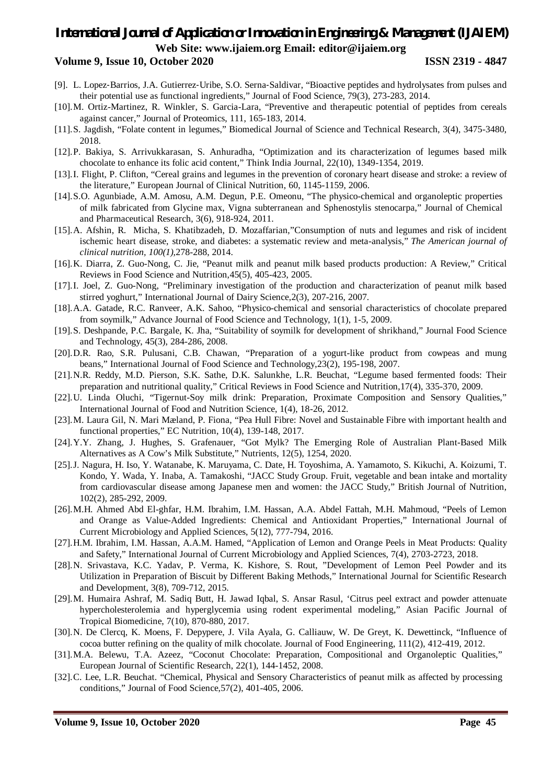#### **Volume 9, Issue 10, October 2020 ISSN 2319 - 4847**

- [9]. L. Lopez-Barrios, J.A. Gutierrez-Uribe, S.O. Serna-Saldivar, "Bioactive peptides and hydrolysates from pulses and their potential use as functional ingredients," Journal of Food Science, 79(3), 273-283, 2014.
- [10].M. Ortiz-Martinez, R. Winkler, S. Garcia-Lara, "Preventive and therapeutic potential of peptides from cereals against cancer," Journal of Proteomics, 111, 165-183, 2014.
- [11].S. Jagdish, "Folate content in legumes," Biomedical Journal of Science and Technical Research, 3(4), 3475-3480, 2018.
- [12].P. Bakiya, S. Arrivukkarasan, S. Anhuradha, "Optimization and its characterization of legumes based milk chocolate to enhance its folic acid content," Think India Journal, 22(10), 1349-1354, 2019.
- [13].I. Flight, P. Clifton, "Cereal grains and legumes in the prevention of coronary heart disease and stroke: a review of the literature," European Journal of Clinical Nutrition, 60, 1145-1159, 2006.
- [14].S.O. Agunbiade, A.M. Amosu, A.M. Degun, P.E. Omeonu, "The physico-chemical and organoleptic properties of milk fabricated from Glycine max, Vigna subterranean and Sphenostylis stenocarpa," Journal of Chemical and Pharmaceutical Research, 3(6), 918-924, 2011.
- [15].A. Afshin, R. Micha, S. Khatibzadeh, D. Mozaffarian,"Consumption of nuts and legumes and risk of incident ischemic heart disease, stroke, and diabetes: a systematic review and meta-analysis," *The American journal of clinical nutrition, 100(1),*278-288, 2014.
- [16].K. Diarra, Z. Guo-Nong, C. Jie, "Peanut milk and peanut milk based products production: A Review," Critical Reviews in Food Science and Nutrition,45(5), 405-423, 2005.
- [17].I. Joel, Z. Guo-Nong, "Preliminary investigation of the production and characterization of peanut milk based stirred yoghurt," International Journal of Dairy Science,2(3), 207-216, 2007.
- [18].A.A. Gatade, R.C. Ranveer, A.K. Sahoo, "Physico-chemical and sensorial characteristics of chocolate prepared from soymilk," Advance Journal of Food Science and Technology, 1(1), 1-5, 2009.
- [19].S. Deshpande, P.C. Bargale, K. Jha, "Suitability of soymilk for development of shrikhand," Journal Food Science and Technology, 45(3), 284-286, 2008.
- [20].D.R. Rao, S.R. Pulusani, C.B. Chawan, "Preparation of a yogurt-like product from cowpeas and mung beans," International Journal of Food Science and Technology,23(2), 195-198, 2007.
- [21].N.R. Reddy, M.D. Pierson, S.K. Sathe, D.K. Salunkhe, L.R. Beuchat, "Legume based fermented foods: Their preparation and nutritional quality," Critical Reviews in Food Science and Nutrition,17(4), 335-370, 2009.
- [22].U. Linda Oluchi, "Tigernut-Soy milk drink: Preparation, Proximate Composition and Sensory Qualities," International Journal of Food and Nutrition Science, 1(4), 18-26, 2012.
- [23].M. Laura Gil, N. Mari Mæland, P. Fiona, "Pea Hull Fibre: Novel and Sustainable Fibre with important health and functional properties," EC Nutrition, 10(4), 139-148, 2017.
- [24].Y.Y. Zhang, J. Hughes, S. Grafenauer, "Got Mylk? The Emerging Role of Australian Plant-Based Milk Alternatives as A Cow's Milk Substitute," Nutrients, 12(5), 1254, 2020.
- [25].J. Nagura, H. Iso, Y. Watanabe, K. Maruyama, C. Date, H. Toyoshima, A. Yamamoto, S. Kikuchi, A. Koizumi, T. Kondo, Y. Wada, Y. Inaba, A. Tamakoshi, "JACC Study Group. Fruit, vegetable and bean intake and mortality from cardiovascular disease among Japanese men and women: the JACC Study," British Journal of Nutrition, 102(2), 285-292, 2009.
- [26].M.H. Ahmed Abd El-ghfar, H.M. Ibrahim, I.M. Hassan, A.A. Abdel Fattah, M.H. Mahmoud, "Peels of Lemon and Orange as Value-Added Ingredients: Chemical and Antioxidant Properties," International Journal of Current Microbiology and Applied Sciences, 5(12), 777-794, 2016.
- [27].H.M. Ibrahim, I.M. Hassan, A.A.M. Hamed, "Application of Lemon and Orange Peels in Meat Products: Quality and Safety," International Journal of Current Microbiology and Applied Sciences, 7(4), 2703-2723, 2018.
- [28].N. Srivastava, K.C. Yadav, P. Verma, K. Kishore, S. Rout, "Development of Lemon Peel Powder and its Utilization in Preparation of Biscuit by Different Baking Methods," International Journal for Scientific Research and Development, 3(8), 709-712, 2015.
- [29].M. Humaira Ashraf, M. Sadiq Butt, H. Jawad Iqbal, S. Ansar Rasul, 'Citrus peel extract and powder attenuate hypercholesterolemia and hyperglycemia using rodent experimental modeling," Asian Pacific Journal of Tropical Biomedicine, 7(10), 870-880, 2017.
- [30].N. De Clercq, K. Moens, F. Depypere, J. Vila Ayala, G. Calliauw, W. De Greyt, K. Dewettinck, "Influence of cocoa butter refining on the quality of milk chocolate. Journal of Food Engineering, 111(2), 412-419, 2012.
- [31].M.A. Belewu, T.A. Azeez, "Coconut Chocolate: Preparation, Compositional and Organoleptic Qualities," European Journal of Scientific Research, 22(1), 144-1452, 2008.
- [32].C. Lee, L.R. Beuchat. "Chemical, Physical and Sensory Characteristics of peanut milk as affected by processing conditions," Journal of Food Science,57(2), 401-405, 2006.